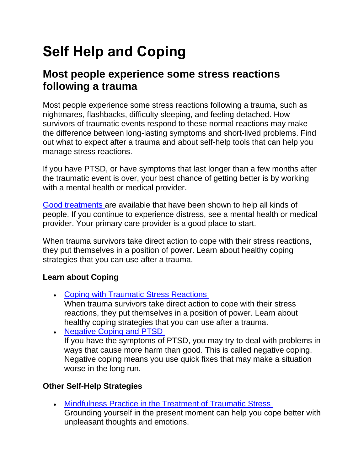# **Self Help and Coping**

## **Most people experience some stress reactions following a trauma**

Most people experience some stress reactions following a trauma, such as nightmares, flashbacks, difficulty sleeping, and feeling detached. How survivors of traumatic events respond to these normal reactions may make the difference between long-lasting symptoms and short-lived problems. Find out what to expect after a trauma and about self-help tools that can help you manage stress reactions.

If you have PTSD, or have symptoms that last longer than a few months after the traumatic event is over, your best chance of getting better is by working with a mental health or medical provider.

[Good treatments](https://www.ptsd.va.gov/understand_tx/tx_basics.asp) are available that have been shown to help all kinds of people. If you continue to experience distress, see a mental health or medical provider. Your primary care provider is a good place to start.

When trauma survivors take direct action to cope with their stress reactions, they put themselves in a position of power. Learn about healthy coping strategies that you can use after a trauma.

### **Learn about Coping**

- [Coping with Traumatic Stress Reactions](https://www.ptsd.va.gov/gethelp/coping_stress_reactions.asp)
- When trauma survivors take direct action to cope with their stress reactions, they put themselves in a position of power. Learn about healthy coping strategies that you can use after a trauma.
- [Negative Coping and PTSD](https://www.ptsd.va.gov/gethelp/negative_coping.asp) If you have the symptoms of PTSD, you may try to deal with problems in ways that cause more harm than good. This is called negative coping. Negative coping means you use quick fixes that may make a situation worse in the long run.

### **Other Self-Help Strategies**

• [Mindfulness Practice in the Treatment of Traumatic Stress](https://www.ptsd.va.gov/gethelp/mindfulness_tx.asp) Grounding yourself in the present moment can help you cope better with unpleasant thoughts and emotions.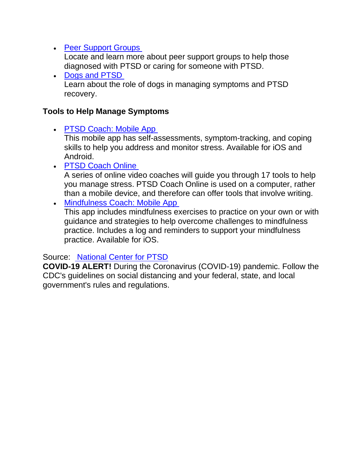• [Peer Support Groups](https://www.ptsd.va.gov/gethelp/peer_support.asp)

Locate and learn more about peer support groups to help those diagnosed with PTSD or caring for someone with PTSD.

• [Dogs and PTSD](https://www.ptsd.va.gov/gethelp/dogs_ptsd.asp) Learn about the role of dogs in managing symptoms and PTSD recovery.

#### **Tools to Help Manage Symptoms**

• [PTSD Coach: Mobile App](https://www.ptsd.va.gov/appvid/mobile/ptsdcoach_app.asp)

This mobile app has self-assessments, symptom-tracking, and coping skills to help you address and monitor stress. Available for iOS and Android.

• [PTSD Coach Online](https://www.ptsd.va.gov/appvid/mobile/ptsdcoach_app.asp) A series of online video coaches will guide you through 17 tools to help you manage stress. PTSD Coach Online is used on a computer, rather than a mobile device, and therefore can offer tools that involve writing.

• [Mindfulness Coach: Mobile App](https://www.ptsd.va.gov/appvid/mobile/mindfulcoach_app.asp)

This app includes mindfulness exercises to practice on your own or with guidance and strategies to help overcome challenges to mindfulness practice. Includes a log and reminders to support your mindfulness practice. Available for iOS.

### Source: [National Center for PTSD](https://www.ptsd.va.gov/)

**COVID-19 ALERT!** During the Coronavirus (COVID-19) pandemic. Follow the CDC's guidelines on social distancing and your federal, state, and local government's rules and regulations.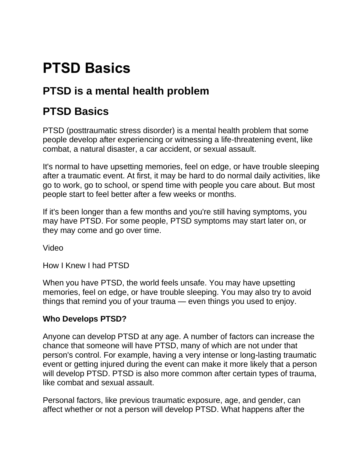# **PTSD Basics**

# **PTSD is a mental health problem**

# **PTSD Basics**

PTSD (posttraumatic stress disorder) is a mental health problem that some people develop after experiencing or witnessing a life-threatening event, like combat, a natural disaster, a car accident, or sexual assault.

It's normal to have upsetting memories, feel on edge, or have trouble sleeping after a traumatic event. At first, it may be hard to do normal daily activities, like go to work, go to school, or spend time with people you care about. But most people start to feel better after a few weeks or months.

If it's been longer than a few months and you're still having symptoms, you may have PTSD. For some people, PTSD symptoms may start later on, or they may come and go over time.

Video

How I Knew I had PTSD

When you have PTSD, the world feels unsafe. You may have upsetting memories, feel on edge, or have trouble sleeping. You may also try to avoid things that remind you of your trauma — even things you used to enjoy.

### **Who Develops PTSD?**

Anyone can develop PTSD at any age. A number of factors can increase the chance that someone will have PTSD, many of which are not under that person's control. For example, having a very intense or long-lasting traumatic event or getting injured during the event can make it more likely that a person will develop PTSD. PTSD is also more common after certain types of trauma, like combat and sexual assault.

Personal factors, like previous traumatic exposure, age, and gender, can affect whether or not a person will develop PTSD. What happens after the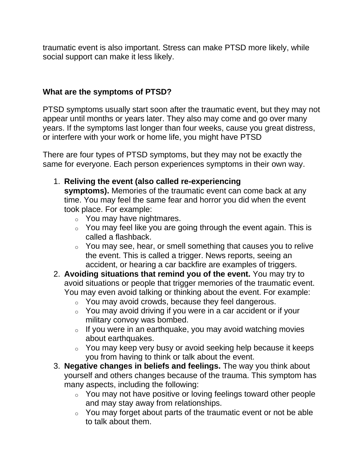traumatic event is also important. Stress can make PTSD more likely, while social support can make it less likely.

### **What are the symptoms of PTSD?**

PTSD symptoms usually start soon after the traumatic event, but they may not appear until months or years later. They also may come and go over many years. If the symptoms last longer than four weeks, cause you great distress, or interfere with your work or home life, you might have PTSD

There are four types of PTSD symptoms, but they may not be exactly the same for everyone. Each person experiences symptoms in their own way.

1. **Reliving the event (also called re-experiencing** 

**symptoms).** Memories of the traumatic event can come back at any time. You may feel the same fear and horror you did when the event took place. For example:

- o You may have nightmares.
- $\circ$  You may feel like you are going through the event again. This is called a flashback.
- $\circ$  You may see, hear, or smell something that causes you to relive the event. This is called a trigger. News reports, seeing an accident, or hearing a car backfire are examples of triggers.
- 2. **Avoiding situations that remind you of the event.** You may try to avoid situations or people that trigger memories of the traumatic event. You may even avoid talking or thinking about the event. For example:
	- o You may avoid crowds, because they feel dangerous.
	- o You may avoid driving if you were in a car accident or if your military convoy was bombed.
	- $\circ$  If you were in an earthquake, you may avoid watching movies about earthquakes.
	- o You may keep very busy or avoid seeking help because it keeps you from having to think or talk about the event.
- 3. **Negative changes in beliefs and feelings.** The way you think about yourself and others changes because of the trauma. This symptom has many aspects, including the following:
	- o You may not have positive or loving feelings toward other people and may stay away from relationships.
	- o You may forget about parts of the traumatic event or not be able to talk about them.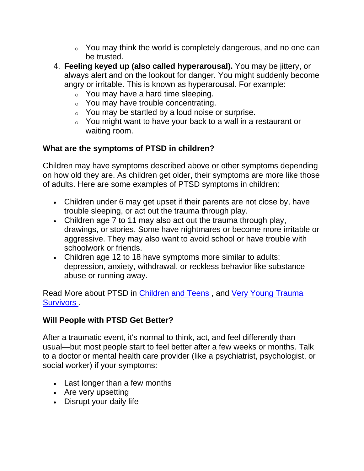- $\circ$  You may think the world is completely dangerous, and no one can be trusted.
- 4. **Feeling keyed up (also called hyperarousal).** You may be jittery, or always alert and on the lookout for danger. You might suddenly become angry or irritable. This is known as hyperarousal. For example:
	- o You may have a hard time sleeping.
	- o You may have trouble concentrating.
	- $\circ$  You may be startled by a loud noise or surprise.
	- $\circ$  You might want to have your back to a wall in a restaurant or waiting room.

## **What are the symptoms of PTSD in children?**

Children may have symptoms described above or other symptoms depending on how old they are. As children get older, their symptoms are more like those of adults. Here are some examples of PTSD symptoms in children:

- Children under 6 may get upset if their parents are not close by, have trouble sleeping, or act out the trauma through play.
- Children age 7 to 11 may also act out the trauma through play, drawings, or stories. Some have nightmares or become more irritable or aggressive. They may also want to avoid school or have trouble with schoolwork or friends.
- Children age 12 to 18 have symptoms more similar to adults: depression, anxiety, withdrawal, or reckless behavior like substance abuse or running away.

Read More about PTSD in [Children and Teens](https://www.ptsd.va.gov/understand/what/teens_ptsd.asp) , and [Very Young Trauma](https://www.ptsd.va.gov/understand/what/young_trauma_survivors.asp)  [Survivors](https://www.ptsd.va.gov/understand/what/young_trauma_survivors.asp) .

### **Will People with PTSD Get Better?**

After a traumatic event, it's normal to think, act, and feel differently than usual—but most people start to feel better after a few weeks or months. Talk to a doctor or mental health care provider (like a psychiatrist, psychologist, or social worker) if your symptoms:

- Last longer than a few months
- Are very upsetting
- Disrupt your daily life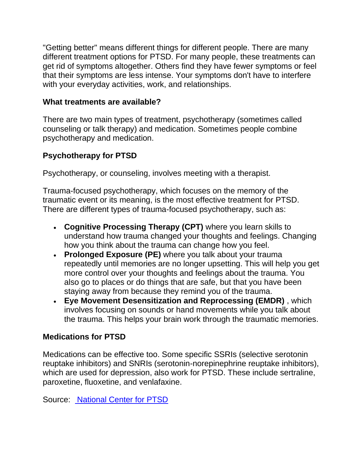"Getting better" means different things for different people. There are many different treatment options for PTSD. For many people, these treatments can get rid of symptoms altogether. Others find they have fewer symptoms or feel that their symptoms are less intense. Your symptoms don't have to interfere with your everyday activities, work, and relationships.

#### **What treatments are available?**

There are two main types of treatment, psychotherapy (sometimes called counseling or talk therapy) and medication. Sometimes people combine psychotherapy and medication.

### **Psychotherapy for PTSD**

Psychotherapy, or counseling, involves meeting with a therapist.

Trauma-focused psychotherapy, which focuses on the memory of the traumatic event or its meaning, is the most effective treatment for PTSD. There are different types of trauma-focused psychotherapy, such as:

- **Cognitive Processing Therapy (CPT)** where you learn skills to understand how trauma changed your thoughts and feelings. Changing how you think about the trauma can change how you feel.
- **Prolonged Exposure (PE)** where you talk about your trauma repeatedly until memories are no longer upsetting. This will help you get more control over your thoughts and feelings about the trauma. You also go to places or do things that are safe, but that you have been staying away from because they remind you of the trauma.
- **Eye Movement Desensitization and Reprocessing (EMDR)** , which involves focusing on sounds or hand movements while you talk about the trauma. This helps your brain work through the traumatic memories.

### **Medications for PTSD**

Medications can be effective too. Some specific SSRIs (selective serotonin reuptake inhibitors) and SNRIs (serotonin-norepinephrine reuptake inhibitors), which are used for depression, also work for PTSD. These include sertraline, paroxetine, fluoxetine, and venlafaxine.

Source: [National Center for PTSD](https://www.ptsd.va.gov/)